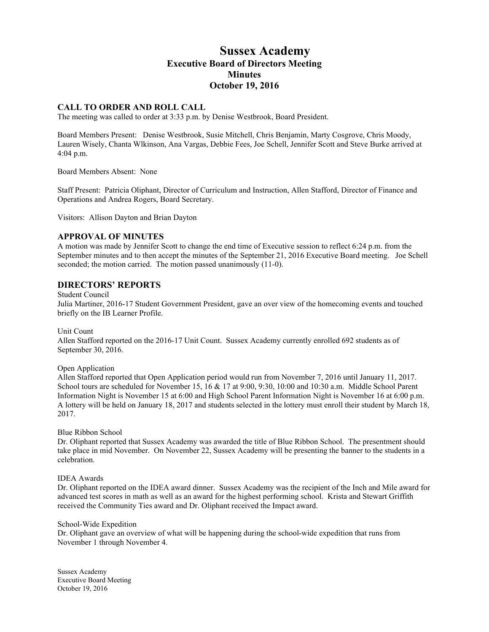# **Sussex Academy Executive Board of Directors Meeting Minutes October 19, 2016**

#### **CALL TO ORDER AND ROLL CALL**

The meeting was called to order at 3:33 p.m. by Denise Westbrook, Board President.

Board Members Present: Denise Westbrook, Susie Mitchell, Chris Benjamin, Marty Cosgrove, Chris Moody, Lauren Wisely, Chanta Wlkinson, Ana Vargas, Debbie Fees, Joe Schell, Jennifer Scott and Steve Burke arrived at 4:04 p.m.

Board Members Absent: None

Staff Present: Patricia Oliphant, Director of Curriculum and Instruction, Allen Stafford, Director of Finance and Operations and Andrea Rogers, Board Secretary.

Visitors: Allison Dayton and Brian Dayton

#### **APPROVAL OF MINUTES**

A motion was made by Jennifer Scott to change the end time of Executive session to reflect 6:24 p.m. from the September minutes and to then accept the minutes of the September 21, 2016 Executive Board meeting. Joe Schell seconded; the motion carried. The motion passed unanimously  $(11-0)$ .

### **DIRECTORS' REPORTS**

#### Student Council

Julia Martiner, 2016-17 Student Government President, gave an over view of the homecoming events and touched briefly on the IB Learner Profile.

Unit Count

Allen Stafford reported on the 2016-17 Unit Count. Sussex Academy currently enrolled 692 students as of September 30, 2016.

Open Application

Allen Stafford reported that Open Application period would run from November 7, 2016 until January 11, 2017. School tours are scheduled for November 15, 16 & 17 at 9:00, 9:30, 10:00 and 10:30 a.m. Middle School Parent Information Night is November 15 at 6:00 and High School Parent Information Night is November 16 at 6:00 p.m. A lottery will be held on January 18, 2017 and students selected in the lottery must enroll their student by March 18, 2017.

Blue Ribbon School

Dr. Oliphant reported that Sussex Academy was awarded the title of Blue Ribbon School. The presentment should take place in mid November. On November 22, Sussex Academy will be presenting the banner to the students in a celebration.

#### IDEA Awards

Dr. Oliphant reported on the IDEA award dinner. Sussex Academy was the recipient of the Inch and Mile award for advanced test scores in math as well as an award for the highest performing school. Krista and Stewart Griffith received the Community Ties award and Dr. Oliphant received the Impact award.

#### School-Wide Expedition

Dr. Oliphant gave an overview of what will be happening during the school-wide expedition that runs from November 1 through November 4.

Sussex Academy Executive Board Meeting October 19, 2016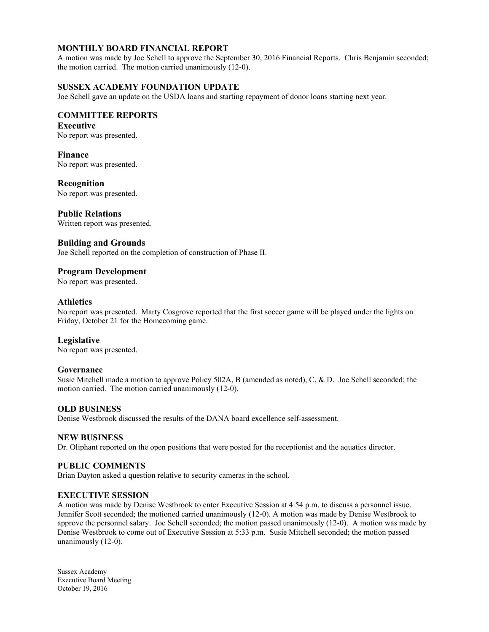# **MONTHLY BOARD FINANCIAL REPORT**

A motion was made by Joe Schell to approve the September 30, 2016 Financial Reports. Chris Benjamin seconded; the motion carried. The motion carried unanimously (12-0).

## **SUSSEX ACADEMY FOUNDATION UPDATE**

Joe Schell gave an update on the USDA loans and starting repayment of donor loans starting next year.

## **COMMITTEE REPORTS**

# **Executive**

No report was presented.

## **Finance**

No report was presented.

# **Recognition**

No report was presented.

### **Public Relations**

Written report was presented.

### **Building and Grounds**

Joe Schell reported on the completion of construction of Phase II.

### **Program Development**

No report was presented.

### **Athletics**

No report was presented. Marty Cosgrove reported that the first soccer game will be played under the lights on Friday, October 21 for the Homecoming game.

#### **Legislative**

No report was presented.

#### **Governance**

Susie Mitchell made a motion to approve Policy 502A, B (amended as noted), C, & D. Joe Schell seconded; the motion carried. The motion carried unanimously (12-0).

#### **OLD BUSINESS**

Denise Westbrook discussed the results of the DANA board excellence self-assessment.

#### **NEW BUSINESS**

Dr. Oliphant reported on the open positions that were posted for the receptionist and the aquatics director.

#### **PUBLIC COMMENTS**

Brian Dayton asked a question relative to security cameras in the school.

#### **EXECUTIVE SESSION**

A motion was made by Denise Westbrook to enter Executive Session at 4:54 p.m. to discuss a personnel issue. Jennifer Scott seconded; the motioned carried unanimously (12-0). A motion was made by Denise Westbrook to approve the personnel salary. Joe Schell seconded; the motion passed unanimously (12-0). A motion was made by Denise Westbrook to come out of Executive Session at 5:33 p.m. Susie Mitchell seconded; the motion passed unanimously (12-0).

Sussex Academy Executive Board Meeting October 19, 2016